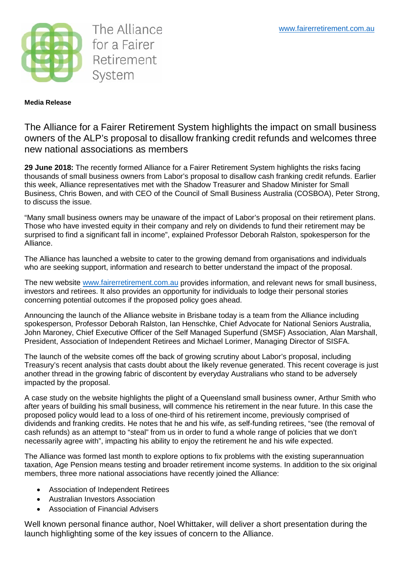

The Alliance for a Fairer Retirement System

## **Media Release**

The Alliance for a Fairer Retirement System highlights the impact on small business owners of the ALP's proposal to disallow franking credit refunds and welcomes three new national associations as members

**29 June 2018:** The recently formed Alliance for a Fairer Retirement System highlights the risks facing thousands of small business owners from Labor's proposal to disallow cash franking credit refunds. Earlier this week, Alliance representatives met with the Shadow Treasurer and Shadow Minister for Small Business, Chris Bowen, and with CEO of the Council of Small Business Australia (COSBOA), Peter Strong, to discuss the issue.

"Many small business owners may be unaware of the impact of Labor's proposal on their retirement plans. Those who have invested equity in their company and rely on dividends to fund their retirement may be surprised to find a significant fall in income", explained Professor Deborah Ralston, spokesperson for the Alliance.

The Alliance has launched a website to cater to the growing demand from organisations and individuals who are seeking support, information and research to better understand the impact of the proposal.

The new website [www.fairerretirement.com.au](http://www.fairerretirement.com.au/) provides information, and relevant news for small business, investors and retirees. It also provides an opportunity for individuals to lodge their personal stories concerning potential outcomes if the proposed policy goes ahead.

Announcing the launch of the Alliance website in Brisbane today is a team from the Alliance including spokesperson, Professor Deborah Ralston, Ian Henschke, Chief Advocate for National Seniors Australia, John Maroney, Chief Executive Officer of the Self Managed Superfund (SMSF) Association, Alan Marshall, President, Association of Independent Retirees and Michael Lorimer, Managing Director of SISFA.

The launch of the website comes off the back of growing scrutiny about Labor's proposal, including Treasury's recent analysis that casts doubt about the likely revenue generated. This recent coverage is just another thread in the growing fabric of discontent by everyday Australians who stand to be adversely impacted by the proposal.

A case study on the website highlights the plight of a Queensland small business owner, Arthur Smith who after years of building his small business, will commence his retirement in the near future. In this case the proposed policy would lead to a loss of one-third of his retirement income, previously comprised of dividends and franking credits. He notes that he and his wife, as self-funding retirees, "see (the removal of cash refunds) as an attempt to "steal" from us in order to fund a whole range of policies that we don't necessarily agree with", impacting his ability to enjoy the retirement he and his wife expected.

The Alliance was formed last month to explore options to fix problems with the existing superannuation taxation, Age Pension means testing and broader retirement income systems. In addition to the six original members, three more national associations have recently joined the Alliance:

- Association of Independent Retirees
- Australian Investors Association
- Association of Financial Advisers

Well known personal finance author, Noel Whittaker, will deliver a short presentation during the launch highlighting some of the key issues of concern to the Alliance.